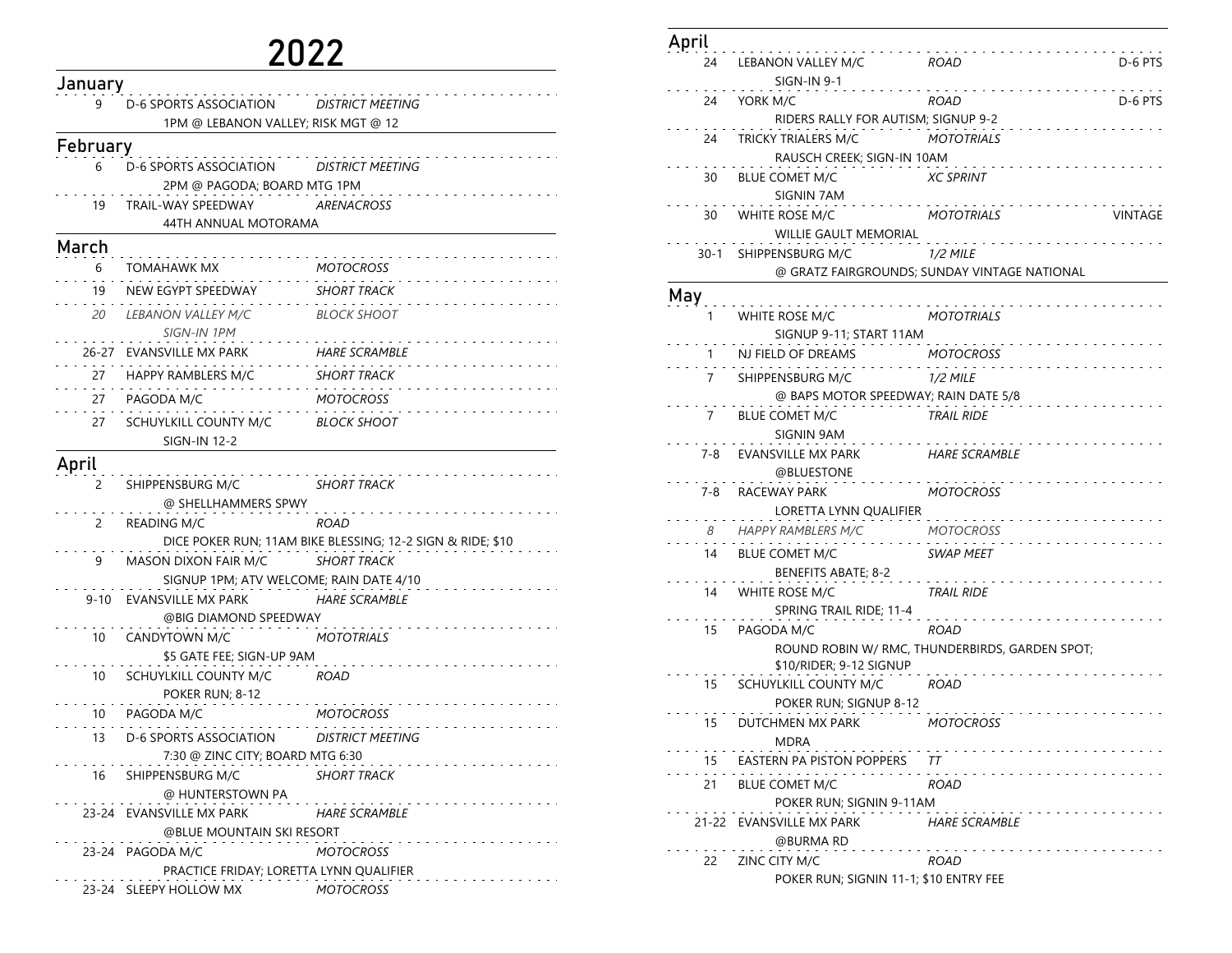## 2022

| January  |                                              |                                                            |
|----------|----------------------------------------------|------------------------------------------------------------|
| 9        | D-6 SPORTS ASSOCIATION                       | DISTRICT MEETING                                           |
|          | 1PM @ LEBANON VALLEY; RISK MGT @ 12          |                                                            |
| February |                                              |                                                            |
| 6        | D-6 SPORTS ASSOCIATION                       | DISTRICT MEETING                                           |
|          | 2PM @ PAGODA; BOARD MTG 1PM                  |                                                            |
| 19       | TRAIL-WAY SPEEDWAY<br>44TH ANNUAL MOTORAMA   | <b>ARENACROSS</b>                                          |
| March    |                                              |                                                            |
| 6        | <b>TOMAHAWK MX</b>                           | <b>MOTOCROSS</b>                                           |
| 19       | NEW EGYPT SPEEDWAY                           | <b>SHORT TRACK</b>                                         |
| 20       | <i>LEBANON VALLEY M/C</i><br>SIGN-IN 1PM     | <b>BLOCK SHOOT</b>                                         |
|          | 26-27 EVANSVILLE MX PARK                     | <b>HARE SCRAMBLE</b>                                       |
| 27       | HAPPY RAMBLERS M/C                           | <b>SHORT TRACK</b>                                         |
| 27       | PAGODA M/C                                   | <b>MOTOCROSS</b>                                           |
| 27       | SCHUYLKILL COUNTY M/C<br><b>SIGN-IN 12-2</b> | <b>BLOCK SHOOT</b>                                         |
| April    |                                              |                                                            |
| 2        | SHIPPENSBURG M/C                             | <b>SHORT TRACK</b>                                         |
|          | @ SHELLHAMMERS SPWY                          |                                                            |
| 2        | <b>READING M/C</b>                           | ROAD                                                       |
|          |                                              | DICE POKER RUN; 11AM BIKE BLESSING; 12-2 SIGN & RIDE; \$10 |
| 9        | MASON DIXON FAIR M/C                         | <b>SHORT TRACK</b>                                         |
|          | SIGNUP 1PM; ATV WELCOME; RAIN DATE 4/10      |                                                            |
| $9 - 10$ | EVANSVILLE MX PARK                           | <b>HARE SCRAMBLE</b>                                       |
|          | @BIG DIAMOND SPEEDWAY                        |                                                            |
| 10       | CANDYTOWN M/C                                | MOTOTRIALS                                                 |
|          | \$5 GATE FEE; SIGN-UP 9AM                    |                                                            |
| 10       | SCHUYLKILL COUNTY M/C<br>POKER RUN; 8-12     | <b>ROAD</b>                                                |
| 10       | PAGODA M/C                                   | <b>MOTOCROSS</b>                                           |
| 13       | D-6 SPORTS ASSOCIATION                       | DISTRICT MEETING                                           |
|          | 7:30 @ ZINC CITY; BOARD MTG 6:30             |                                                            |
| 16       | SHIPPENSBURG M/C<br>@ HUNTERSTOWN PA         | <b>SHORT TRACK</b>                                         |
|          | 23-24 EVANSVILLE MX PARK                     | <b>HARE SCRAMBLE</b>                                       |
|          | @BLUE MOUNTAIN SKI RESORT                    |                                                            |
|          | 23-24 PAGODA M/C                             | <b>MOTOCROSS</b>                                           |
|          | PRACTICE FRIDAY; LORETTA LYNN QUALIFIER      |                                                            |
|          | 23-24 SLEEPY HOLLOW MX                       | <b>MOTOCROSS</b>                                           |

| April |       |                                                 |                                                |                |
|-------|-------|-------------------------------------------------|------------------------------------------------|----------------|
|       | 24    | LEBANON VALLEY M/C<br><b>SIGN-IN 9-1</b>        | <b>ROAD</b>                                    | D-6 PTS        |
|       | 24    | YORK M/C                                        | ROAD                                           | D-6 PTS        |
|       |       | RIDERS RALLY FOR AUTISM; SIGNUP 9-2             |                                                |                |
|       | 24    | TRICKY TRIALERS M/C                             | <b>MOTOTRIALS</b>                              |                |
|       |       | RAUSCH CREEK; SIGN-IN 10AM                      |                                                |                |
|       | 30    | <b>BLUE COMET M/C</b><br>SIGNIN 7AM             | <b>XC SPRINT</b>                               |                |
|       | 30    | WHITE ROSE M/C<br>WILLIE GAULT MEMORIAL         | MOTOTRIALS                                     | <b>VINTAGE</b> |
|       |       | 30-1 SHIPPENSBURG M/C                           | <b>1/2 MILE</b>                                |                |
|       |       |                                                 | @ GRATZ FAIRGROUNDS; SUNDAY VINTAGE NATIONAL   |                |
| May   |       |                                                 |                                                |                |
|       | 1     | WHITE ROSE M/C                                  | <b>MOTOTRIALS</b>                              |                |
|       |       | SIGNUP 9-11; START 11AM                         |                                                |                |
|       | 1     | NJ FIELD OF DREAMS                              | <b>MOTOCROSS</b>                               |                |
|       | 7     | SHIPPENSBURG M/C                                | <i>1/2 MILE</i>                                |                |
|       |       | @ BAPS MOTOR SPEEDWAY; RAIN DATE 5/8            |                                                |                |
|       | 7     | BLUE COMET M/C                                  | <b>TRAIL RIDE</b>                              |                |
|       |       | SIGNIN 9AM                                      |                                                |                |
|       | 7-8   | EVANSVILLE MX PARK<br>@BLUESTONE                | <b>HARE SCRAMBLE</b>                           |                |
|       | 7-8   | RACEWAY PARK                                    | <b>MOTOCROSS</b>                               |                |
|       |       | LORETTA LYNN QUALIFIER                          |                                                |                |
|       | 8     | HAPPY RAMBLERS M/C                              | MOTOCROSS                                      |                |
|       | 14    | <b>BLUE COMET M/C</b>                           | SWAP MEET                                      |                |
|       |       | BENEFITS ABATE; 8-2                             |                                                |                |
|       | 14    | WHITE ROSE M/C                                  | TRAIL RIDE                                     |                |
|       |       | SPRING TRAIL RIDE; 11-4                         |                                                |                |
|       | 15    | PAGODA M/C                                      | ROAD                                           |                |
|       |       | \$10/RIDER; 9-12 SIGNUP                         | ROUND ROBIN W/ RMC, THUNDERBIRDS, GARDEN SPOT; |                |
|       | 15    | SCHUYLKILL COUNTY M/C<br>POKER RUN; SIGNUP 8-12 | ROAD                                           |                |
|       | 15    | DUTCHMEN MX PARK<br>MDRA                        | <b>MOTOCROSS</b>                               |                |
|       | 15    | EASTERN PA PISTON POPPERS                       | TТ                                             |                |
|       | 21    | <b>BLUE COMET M/C</b>                           | ROAD                                           |                |
|       |       | POKER RUN; SIGNIN 9-11AM                        |                                                |                |
|       | 21-22 | EVANSVILLE MX PARK                              | <b>HARE SCRAMBLE</b>                           |                |
|       |       | @BURMA RD                                       |                                                |                |
|       | 22    | ZINC CITY M/C                                   | ROAD                                           |                |
|       |       | POKER RUN; SIGNIN 11-1; \$10 ENTRY FEE          |                                                |                |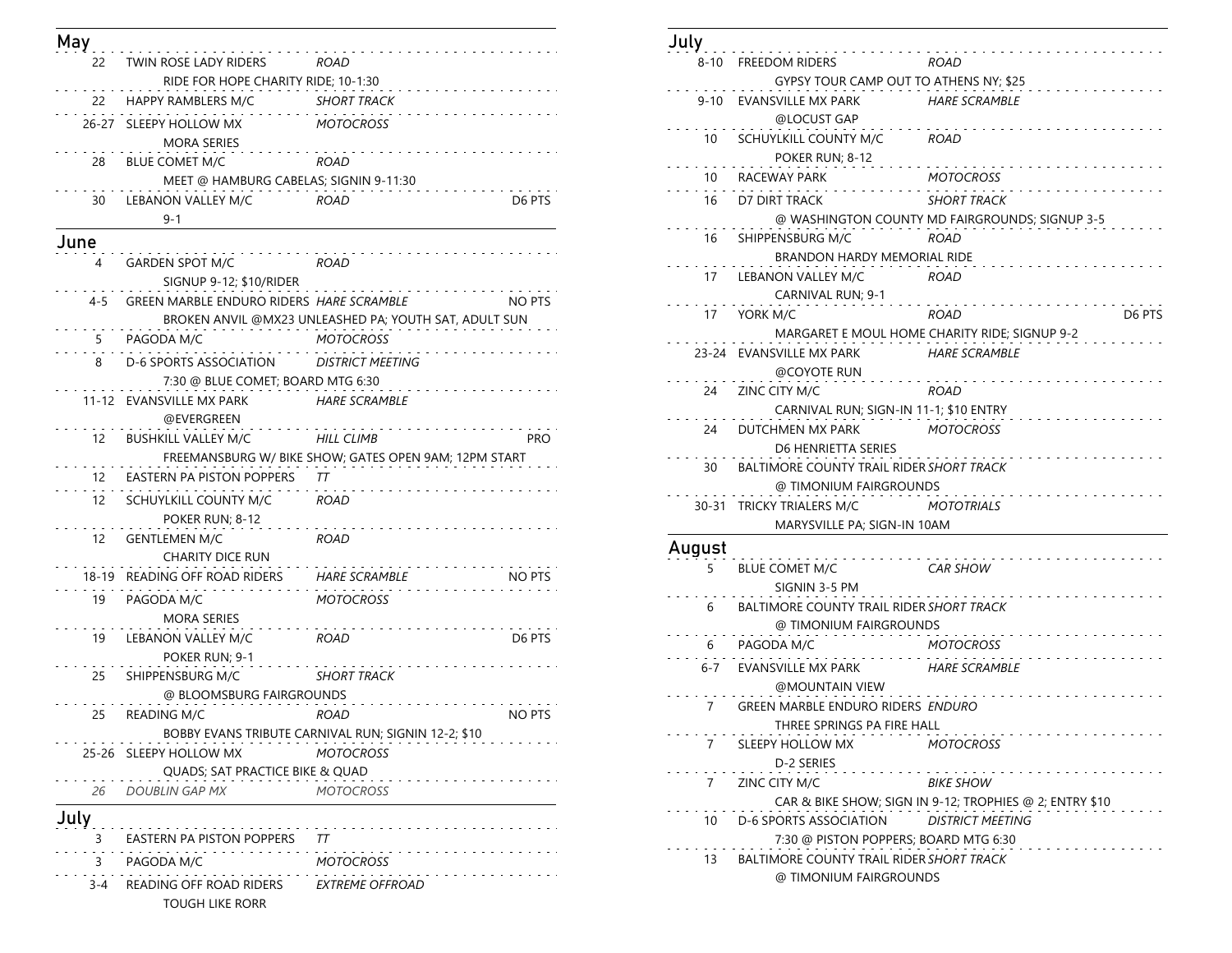| May   |                                                   |                                                                                   |
|-------|---------------------------------------------------|-----------------------------------------------------------------------------------|
| 22    | TWIN ROSE LADY RIDERS                             | ROAD                                                                              |
|       | RIDE FOR HOPE CHARITY RIDE; 10-1:30               |                                                                                   |
| 22    | HAPPY RAMBLERS M/C                                | <b>SHORT TRACK</b>                                                                |
|       | 26-27 SLEEPY HOLLOW MX<br><b>MORA SERIES</b>      | <b>MOTOCROSS</b>                                                                  |
| 28    | <b>BLUE COMET M/C</b>                             | <b>ROAD</b>                                                                       |
|       | MEET @ HAMBURG CABELAS; SIGNIN 9-11:30            |                                                                                   |
| 30    | LEBANON VALLEY M/C<br>$9 - 1$                     | <b>ROAD</b><br>D6 PTS                                                             |
| June  |                                                   |                                                                                   |
| 4     | <b>GARDEN SPOT M/C</b><br>SIGNUP 9-12; \$10/RIDER | ROAD                                                                              |
| 4-5   | GREEN MARBLE ENDURO RIDERS HARE SCRAMBLE          | <b>NO PTS</b>                                                                     |
|       |                                                   | BROKEN ANVIL @MX23 UNLEASHED PA; YOUTH SAT, ADULT SUN                             |
| 5.    | PAGODA M/C                                        | <b>MOTOCROSS</b>                                                                  |
| 8     | <b>D-6 SPORTS ASSOCIATION</b>                     | <b>DISTRICT MEETING</b>                                                           |
|       | 7:30 @ BLUE COMET; BOARD MTG 6:30                 |                                                                                   |
|       | 11-12 EVANSVILLE MX PARK<br>@EVERGREEN            | <b>HARE SCRAMBLE</b>                                                              |
| 12    | <b>BUSHKILL VALLEY M/C</b>                        | <b>PRO</b><br>HILL CLIMB<br>FREEMANSBURG W/ BIKE SHOW; GATES OPEN 9AM; 12PM START |
| 12    | <b>EASTERN PA PISTON POPPERS</b>                  | TΤ                                                                                |
| 12    | SCHUYLKILL COUNTY M/C<br>POKER RUN; 8-12          | ROAD                                                                              |
| 12    | <b>GENTLEMEN M/C</b><br><b>CHARITY DICE RUN</b>   | ROAD                                                                              |
| 18-19 | READING OFF ROAD RIDERS                           | <b>HARE SCRAMBLE</b><br>NO PTS                                                    |
| 19    | PAGODA M/C<br>MORA SERIES                         | <b>MOTOCROSS</b>                                                                  |
| 19    | LEBANON VALLEY M/C<br>POKER RUN; 9-1              | D6 PTS<br>ROAD                                                                    |
| 25    | SHIPPENSBURG M/C<br>@ BLOOMSBURG FAIRGROUNDS      | <b>SHORT TRACK</b>                                                                |
| 25    | READING M/C                                       | <b>NO PTS</b><br>ROAD                                                             |
|       |                                                   | BOBBY EVANS TRIBUTE CARNIVAL RUN; SIGNIN 12-2; \$10                               |
| 25-26 | SLEEPY HOLLOW MX                                  | MOTOCROSS                                                                         |
|       | QUADS; SAT PRACTICE BIKE & QUAD                   |                                                                                   |
| 26    | <b>DOUBLIN GAP MX</b>                             | MOTOCROSS                                                                         |
| July  |                                                   |                                                                                   |
| 3     | EASTERN PA PISTON POPPERS                         | TТ                                                                                |
| 3     | PAGODA M/C                                        | <b>MOTOCROSS</b>                                                                  |
| 3-4   | READING OFF ROAD RIDERS                           |                                                                                   |
|       | <b>TOUGH LIKE RORR</b>                            | <i><b>EXTREME OFFROAD</b></i>                                                     |

| July     |                                                 |                                                         |
|----------|-------------------------------------------------|---------------------------------------------------------|
| 8-10     | <b>FREEDOM RIDERS</b>                           | ROAD                                                    |
|          | GYPSY TOUR CAMP OUT TO ATHENS NY; \$25          |                                                         |
| $9 - 10$ | EVANSVILLE MX PARK<br>@LOCUST GAP               | <b>HARE SCRAMBLE</b>                                    |
| 10       | SCHUYLKILL COUNTY M/C                           | ROAD                                                    |
|          | POKER RUN; 8-12                                 |                                                         |
| 10       | RACEWAY PARK                                    | MOTOCROSS                                               |
| 16       | D7 DIRT TRACK                                   | <b>SHORT TRACK</b>                                      |
|          |                                                 | @ WASHINGTON COUNTY MD FAIRGROUNDS; SIGNUP 3-5          |
| 16       | SHIPPENSBURG M/C                                | ROAD                                                    |
|          | <b>BRANDON HARDY MEMORIAL RIDE</b>              |                                                         |
| 17       | LEBANON VALLEY M/C                              | ROAD                                                    |
|          | CARNIVAL RUN; 9-1                               |                                                         |
| 17       | YORK M/C                                        | <b>ROAD</b><br>D6 PTS                                   |
|          |                                                 | MARGARET E MOUL HOME CHARITY RIDE; SIGNUP 9-2           |
|          | 23-24 EVANSVILLE MX PARK                        | <b>HARE SCRAMBLE</b>                                    |
|          | @COYOTE RUN                                     |                                                         |
| 24       | ZINC CITY M/C                                   | ROAD                                                    |
|          | CARNIVAL RUN; SIGN-IN 11-1; \$10 ENTRY          |                                                         |
| 24       | DUTCHMEN MX PARK                                | <b>MOTOCROSS</b>                                        |
|          | D6 HENRIETTA SERIES                             |                                                         |
| 30       | <b>BALTIMORE COUNTY TRAIL RIDER SHORT TRACK</b> |                                                         |
|          | @ TIMONIUM FAIRGROUNDS                          |                                                         |
| 30-31    | TRICKY TRIALERS M/C                             | MOTOTRIALS                                              |
|          | MARYSVILLE PA; SIGN-IN 10AM                     |                                                         |
| August   | .                                               |                                                         |
| 5        | <b>BLUE COMET M/C</b>                           | <b>CAR SHOW</b>                                         |
|          | SIGNIN 3-5 PM                                   |                                                         |
| 6        | BALTIMORE COUNTY TRAIL RIDER SHORT TRACK        |                                                         |
|          | @ TIMONIUM FAIRGROUNDS                          |                                                         |
| 6        | PAGODA M/C                                      | <b>MOTOCROSS</b>                                        |
| 6-7      | EVANSVILLE MX PARK                              | <b>HARE SCRAMBLE</b>                                    |
|          | @MOUNTAIN VIEW                                  |                                                         |
| 7        | <b>GREEN MARBLE ENDURO RIDERS ENDURO</b>        |                                                         |
|          | THREE SPRINGS PA FIRE HALL                      |                                                         |
| 7        | .<br>SLEEPY HOLLOW MX                           | the second contract of the second<br>MOTOCROSS          |
|          | D-2 SERIES                                      |                                                         |
| 7        | ZINC CITY M/C                                   | <b>BIKE SHOW</b>                                        |
|          |                                                 | CAR & BIKE SHOW; SIGN IN 9-12; TROPHIES @ 2; ENTRY \$10 |
| 10       | D-6 SPORTS ASSOCIATION                          | DISTRICT MEETING                                        |
|          | 7:30 @ PISTON POPPERS; BOARD MTG 6:30           |                                                         |
| 13       | BALTIMORE COUNTY TRAIL RIDER SHORT TRACK        |                                                         |
|          | @ TIMONIUM FAIRGROUNDS                          |                                                         |
|          |                                                 |                                                         |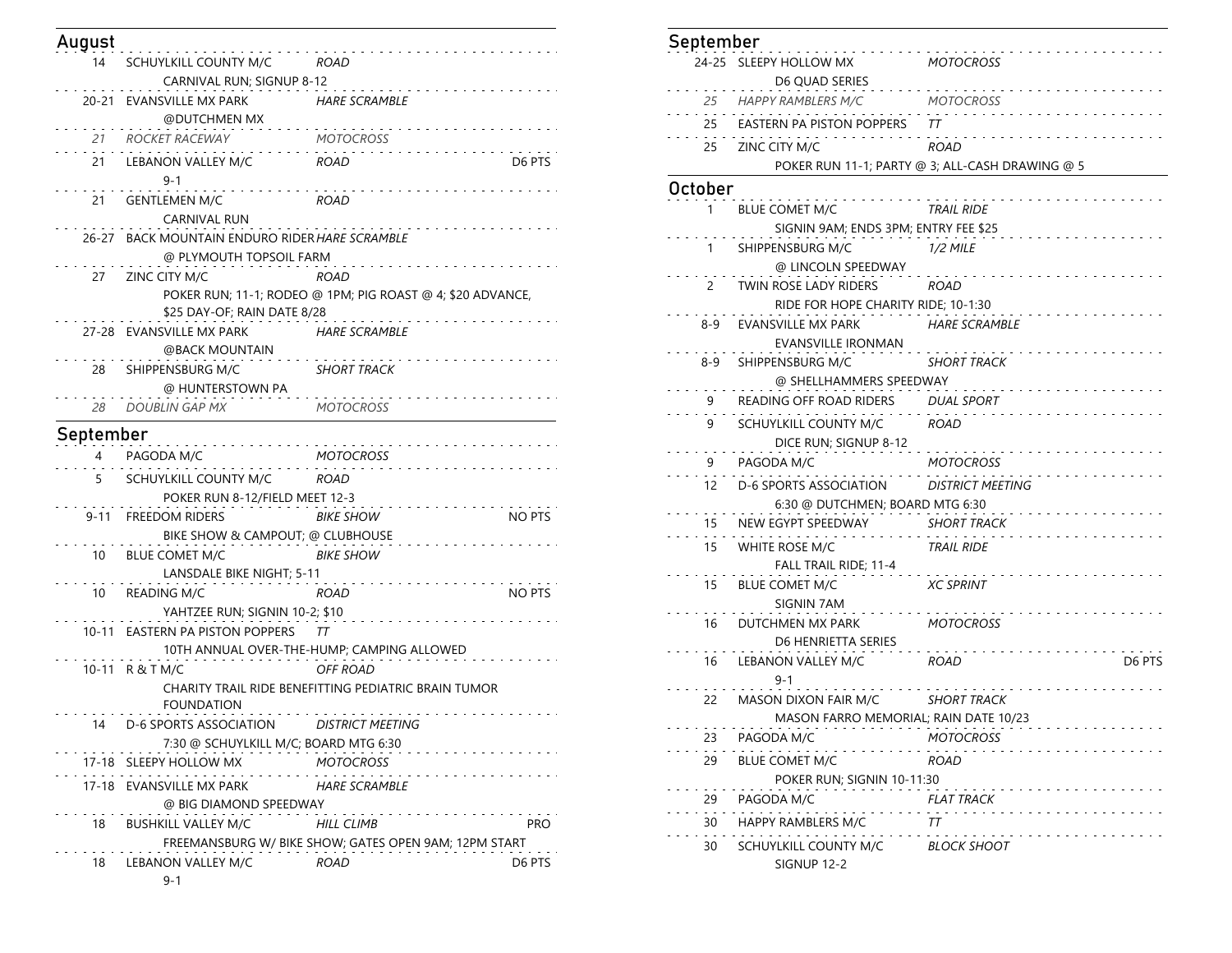| August    |                                                |                                                            |               |
|-----------|------------------------------------------------|------------------------------------------------------------|---------------|
| 14        | SCHUYLKILL COUNTY M/C                          | ROAD                                                       |               |
|           | CARNIVAL RUN; SIGNUP 8-12                      |                                                            |               |
| 20-21     | EVANSVILLE MX PARK                             | <b>HARE SCRAMBLE</b>                                       |               |
|           | @DUTCHMEN MX                                   |                                                            |               |
| 21        | ROCKET RACEWAY                                 | <b>MOTOCROSS</b>                                           |               |
| 21        | LEBANON VALLEY M/C                             | ROAD                                                       | D6 PTS        |
|           | 9-1                                            |                                                            |               |
| 21        | <b>GENTLEMEN M/C</b>                           | ROAD                                                       |               |
|           | CARNIVAL RUN                                   |                                                            |               |
|           | 26-27 BACK MOUNTAIN ENDURO RIDER HARE SCRAMBLE |                                                            |               |
|           | @ PLYMOUTH TOPSOIL FARM                        |                                                            |               |
| 27        | ZINC CITY M/C                                  | <b>ROAD</b>                                                |               |
|           | \$25 DAY-OF; RAIN DATE 8/28                    | POKER RUN; 11-1; RODEO @ 1PM; PIG ROAST @ 4; \$20 ADVANCE, |               |
|           | 27-28 EVANSVILLE MX PARK                       | <b>HARE SCRAMBLE</b>                                       |               |
|           | @BACK MOUNTAIN                                 |                                                            |               |
| 28        | SHIPPENSBURG M/C                               | <b>SHORT TRACK</b>                                         |               |
|           | @ HUNTERSTOWN PA                               |                                                            |               |
| 28        | <b>DOUBLIN GAP MX</b>                          | <b>MOTOCROSS</b>                                           |               |
| September |                                                |                                                            |               |
| 4         | PAGODA M/C                                     | <b>MOTOCROSS</b>                                           |               |
| 5.        | SCHUYLKILL COUNTY M/C                          | ROAD                                                       |               |
|           | POKER RUN 8-12/FIELD MEET 12-3                 |                                                            |               |
| $9 - 11$  | <b>FREEDOM RIDERS</b>                          | <b>BIKE SHOW</b>                                           | <b>NO PTS</b> |
|           | BIKE SHOW & CAMPOUT; @ CLUBHOUSE               |                                                            |               |
| 10        | <b>BLUE COMET M/C</b>                          | <b>BIKE SHOW</b>                                           |               |
|           | LANSDALE BIKE NIGHT; 5-11                      |                                                            |               |
| 10        | <b>READING M/C</b>                             | ROAD                                                       | NO PTS        |
|           | YAHTZEE RUN; SIGNIN 10-2; \$10                 |                                                            |               |
|           | 10-11 EASTERN PA PISTON POPPERS                | TТ                                                         |               |
|           |                                                | 10TH ANNUAL OVER-THE-HUMP; CAMPING ALLOWED                 |               |
|           | 10-11 R&TM/C                                   | <b>OFF ROAD</b>                                            |               |
|           | <b>FOUNDATION</b>                              | CHARITY TRAIL RIDE BENEFITTING PEDIATRIC BRAIN TUMOR       |               |
| 14        | D-6 SPORTS ASSOCIATION DISTRICT MEETING        |                                                            |               |
|           | 7:30 @ SCHUYLKILL M/C; BOARD MTG 6:30          |                                                            |               |
|           | 17-18 SLEEPY HOLLOW MX                         | <b>MOTOCROSS</b>                                           |               |
| 17-18     | EVANSVILLE MX PARK                             | <b>HARE SCRAMBLE</b>                                       |               |
|           | @ BIG DIAMOND SPEEDWAY                         |                                                            |               |
| 18        | <b>BUSHKILL VALLEY M/C</b>                     | <b>HILL CLIMB</b>                                          | <b>PRO</b>    |
|           |                                                | FREEMANSBURG W/ BIKE SHOW; GATES OPEN 9AM; 12PM START      |               |
| 18        | LEBANON VALLEY M/C                             | ROAD                                                       | D6 PTS        |

| September |                                                     |                                                 |
|-----------|-----------------------------------------------------|-------------------------------------------------|
|           | 24-25 SLEEPY HOLLOW MX<br>D6 QUAD SERIES            | MOTOCROSS                                       |
| 25        | HAPPY RAMBLERS M/C                                  | <b>MOTOCROSS</b>                                |
| 25        | EASTERN PA PISTON POPPERS                           | TТ                                              |
|           | 25 ZINC CITY M/C                                    | ROAD                                            |
|           |                                                     | POKER RUN 11-1; PARTY @ 3; ALL-CASH DRAWING @ 5 |
| October   |                                                     |                                                 |
| 1.        | <b>BLUE COMET M/C</b>                               | <b>TRAIL RIDE</b>                               |
|           | SIGNIN 9AM; ENDS 3PM; ENTRY FEE \$25                |                                                 |
| 1         | SHIPPENSBURG M/C                                    | <b>1/2 MILE</b>                                 |
|           | @ LINCOLN SPEEDWAY                                  |                                                 |
| 2         | TWIN ROSE LADY RIDERS                               | ROAD                                            |
|           | RIDE FOR HOPE CHARITY RIDE; 10-1:30                 |                                                 |
| 8-9       | EVANSVILLE MX PARK                                  | HARE SCRAMBLE                                   |
|           | EVANSVILLE IRONMAN                                  |                                                 |
| 8-9       | SHIPPENSBURG M/C                                    | <b>SHORT TRACK</b>                              |
|           | @ SHELLHAMMERS SPEEDWAY                             |                                                 |
| 9         | READING OFF ROAD RIDERS DUAL SPORT                  |                                                 |
| 9         | SCHUYLKILL COUNTY M/C ROAD<br>DICE RUN; SIGNUP 8-12 |                                                 |
| 9.        | PAGODA M/C                                          | <b>MOTOCROSS</b>                                |
| 12        | D-6 SPORTS ASSOCIATION                              | <b>DISTRICT MEETING</b>                         |
|           | 6:30 @ DUTCHMEN; BOARD MTG 6:30                     |                                                 |
| 15        | NEW EGYPT SPEEDWAY                                  | <b>SHORT TRACK</b>                              |
| 15        | WHITE ROSE M/C<br>FALL TRAIL RIDE; 11-4             | <b>TRAIL RIDE</b>                               |
| 15        | <b>BLUE COMET M/C</b>                               | <b>XC SPRINT</b>                                |
|           | SIGNIN 7AM                                          |                                                 |
| 16        | DUTCHMEN MX PARK<br>D6 HENRIETTA SERIES             | <b>MOTOCROSS</b>                                |
| 16        | LEBANON VALLEY M/C<br>9-1                           | D6 PTS<br>ROAD                                  |
| 22        | MASON DIXON FAIR M/C                                | SHORT TRACK                                     |
|           | MASON FARRO MEMORIAL; RAIN DATE 10/23               |                                                 |
| 23        | PAGODA M/C                                          | <b>MOTOCROSS</b>                                |
| 29        | <b>BLUE COMET M/C</b>                               | ROAD                                            |
|           | POKER RUN; SIGNIN 10-11:30                          |                                                 |
| 29        | PAGODA M/C                                          | FLAT TRACK                                      |
| 30        | HAPPY RAMBLERS M/C                                  | TТ                                              |
| 30        | SCHUYLKILL COUNTY M/C<br>SIGNUP 12-2                | BLOCK SHOOT                                     |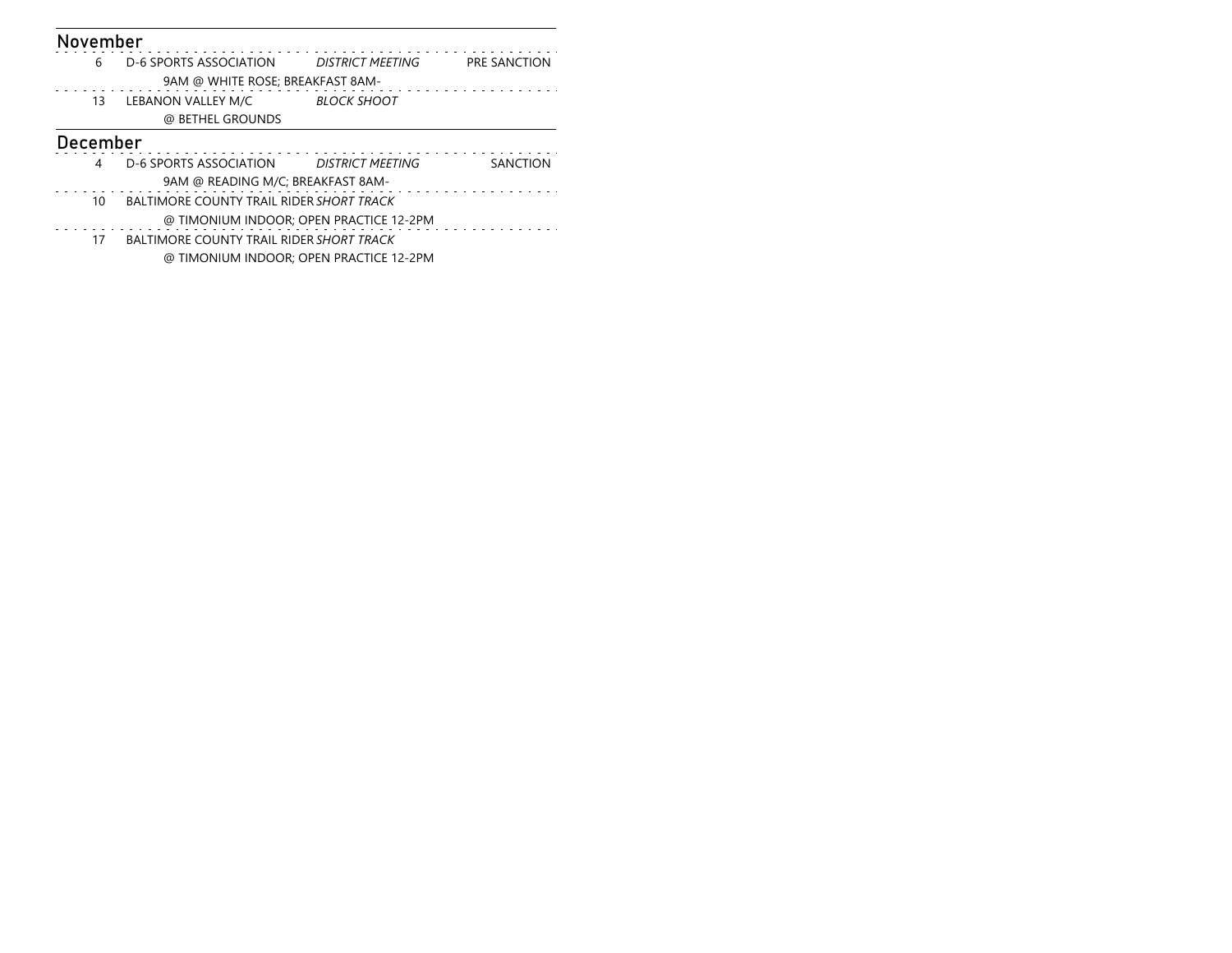| November |                                          |                                         |                     |
|----------|------------------------------------------|-----------------------------------------|---------------------|
| 6        | D-6 SPORTS ASSOCIATION                   | <b>DISTRICT MEETING</b>                 | <b>PRE SANCTION</b> |
|          | 9AM @ WHITE ROSE; BREAKFAST 8AM-         |                                         |                     |
| 13       | LEBANON VALLEY M/C                       | <b>BLOCK SHOOT</b>                      |                     |
|          | @ BETHEL GROUNDS                         |                                         |                     |
| December |                                          |                                         |                     |
| 4        | D-6 SPORTS ASSOCIATION                   | <b>DISTRICT MEETING</b>                 | <b>SANCTION</b>     |
|          | 9AM @ READING M/C; BREAKFAST 8AM-        |                                         |                     |
| 10       | BALTIMORE COUNTY TRAIL RIDER SHORT TRACK |                                         |                     |
|          |                                          | @ TIMONIUM INDOOR; OPEN PRACTICE 12-2PM |                     |
| 17       | BALTIMORE COUNTY TRAIL RIDER SHORT TRACK |                                         |                     |
|          |                                          | @ TIMONIUM INDOOR: OPEN PRACTICE 12-2PM |                     |